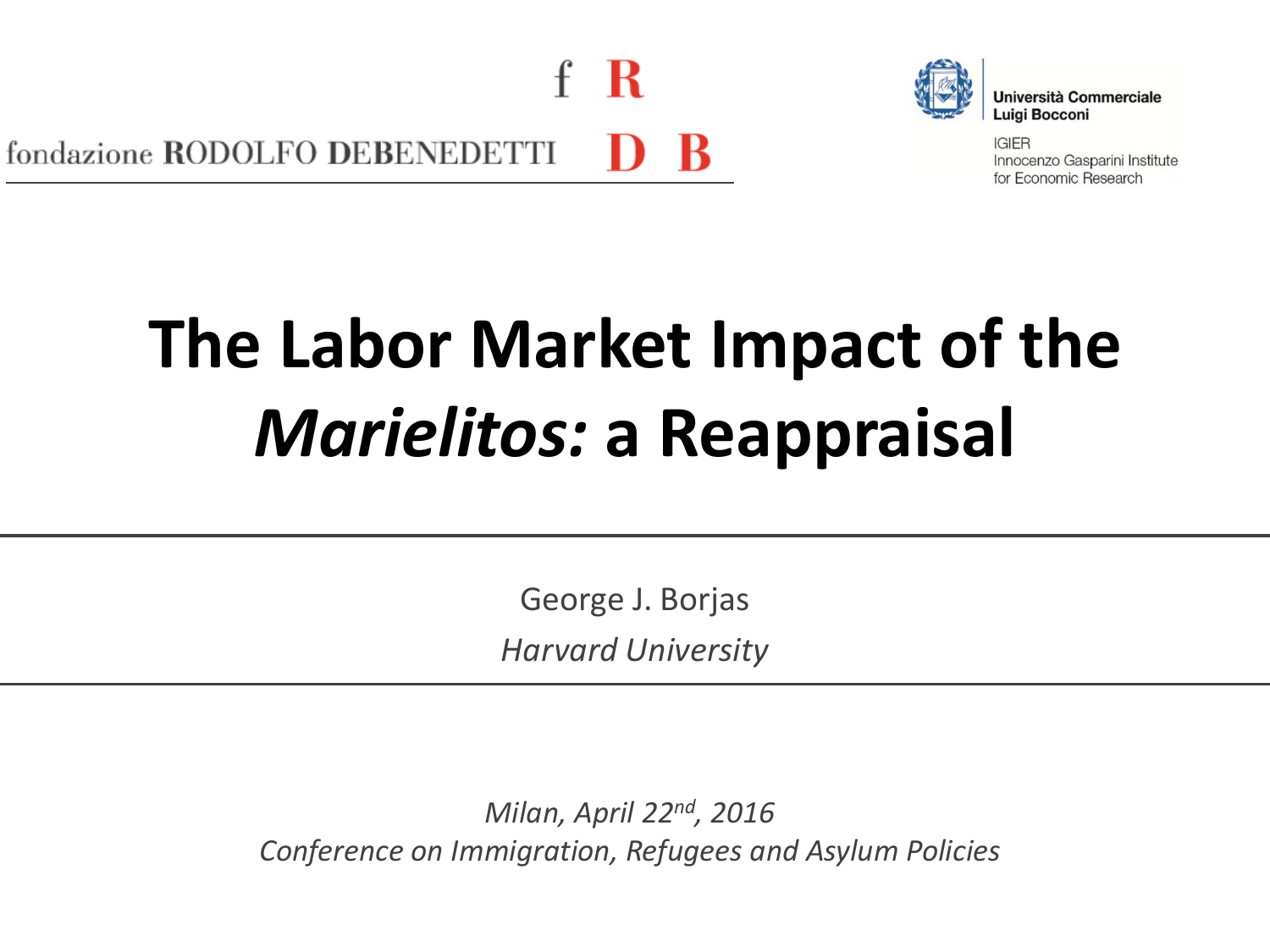

**Università Commerciale** Luiai Bocconi

**IGIER** Innocenzo Gasparini Institute for Economic Research

# **The Labor Market Impact of the**  *Marielitos:* **a Reappraisal**

George J. Borjas *Harvard University*

*Milan, April 22nd, 2016 Conference on Immigration, Refugees and Asylum Policies*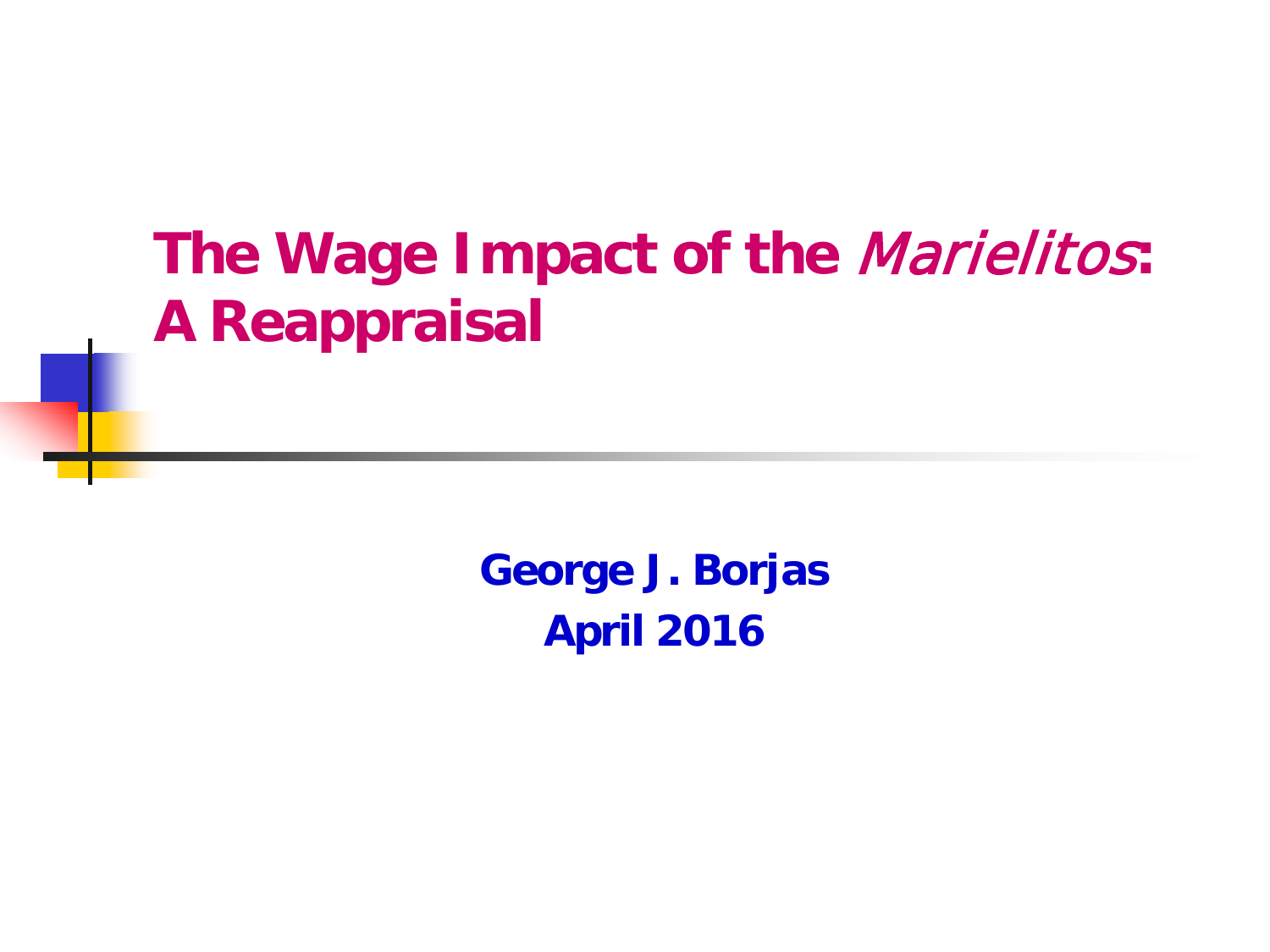# **The Wage Impact of the** Marielitos**: A Reappraisal**

**George J. Borjas April 2016**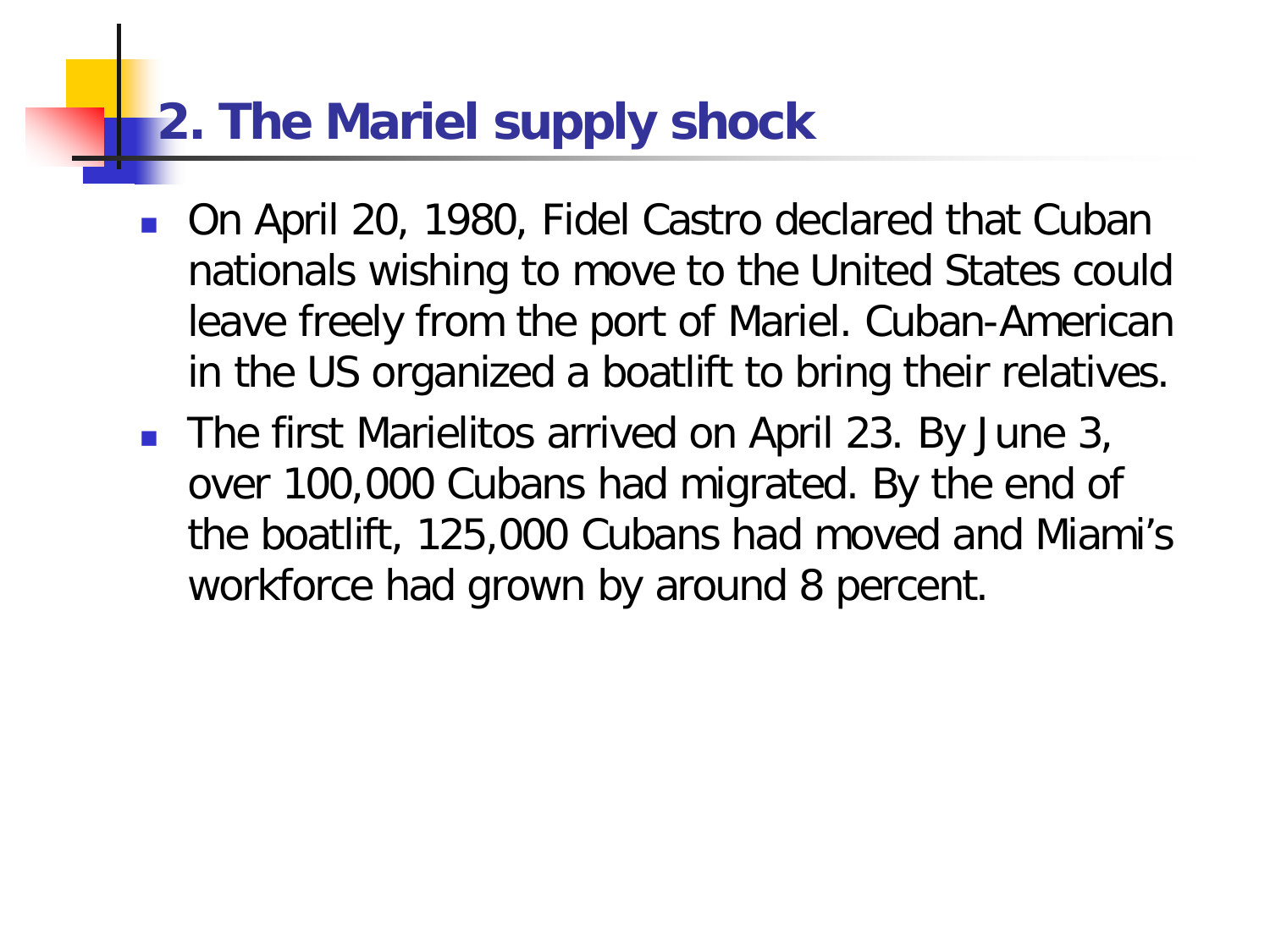# **2. The Mariel supply shock**

- On April 20, 1980, Fidel Castro declared that Cuban nationals wishing to move to the United States could leave freely from the port of Mariel. Cuban-American in the US organized a boatlift to bring their relatives.
- The first Marielitos arrived on April 23. By June 3, over 100,000 Cubans had migrated. By the end of the boatlift, 125,000 Cubans had moved and Miami's workforce had grown by around 8 percent.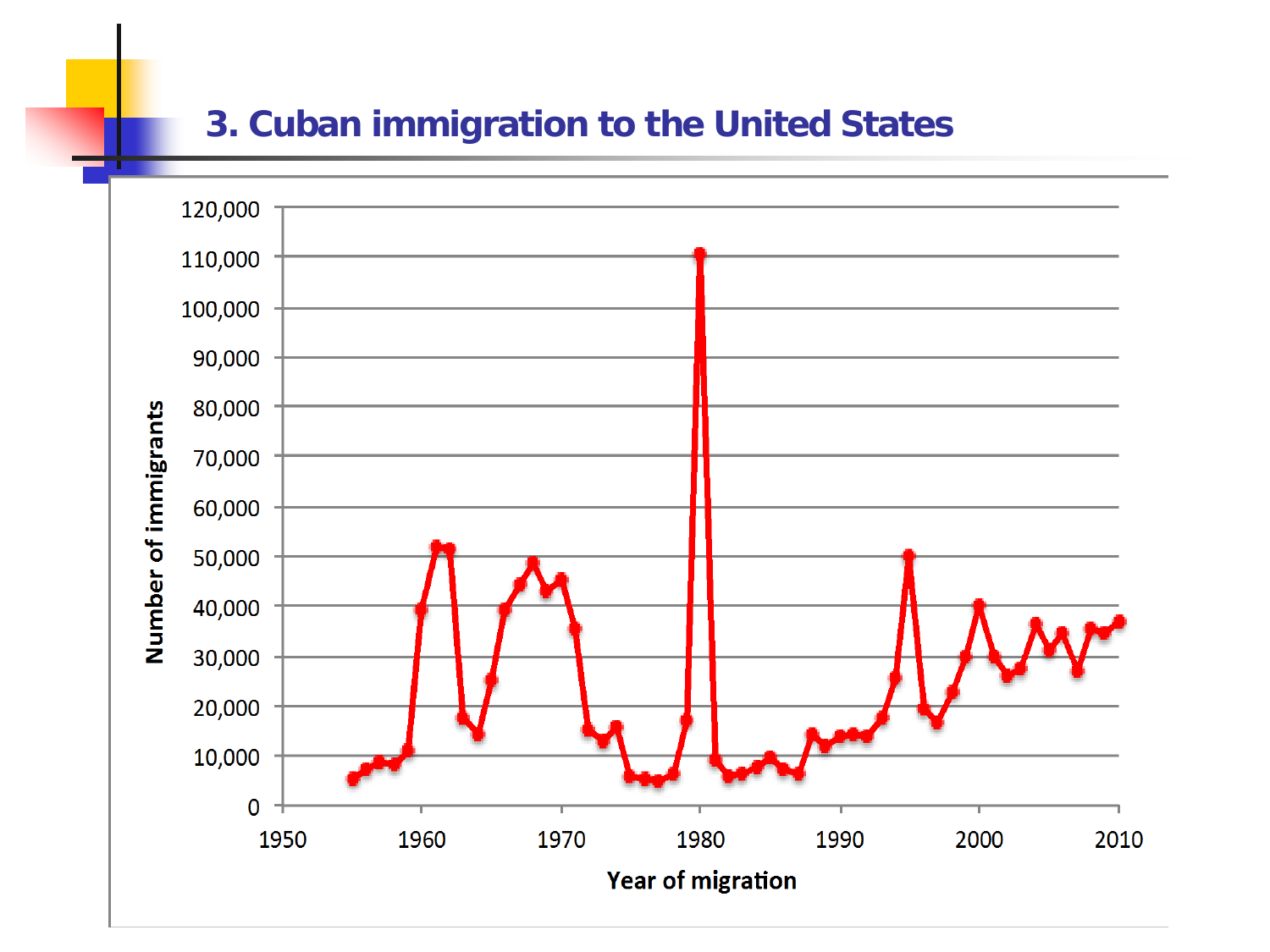#### **3. Cuban immigration to the United States**

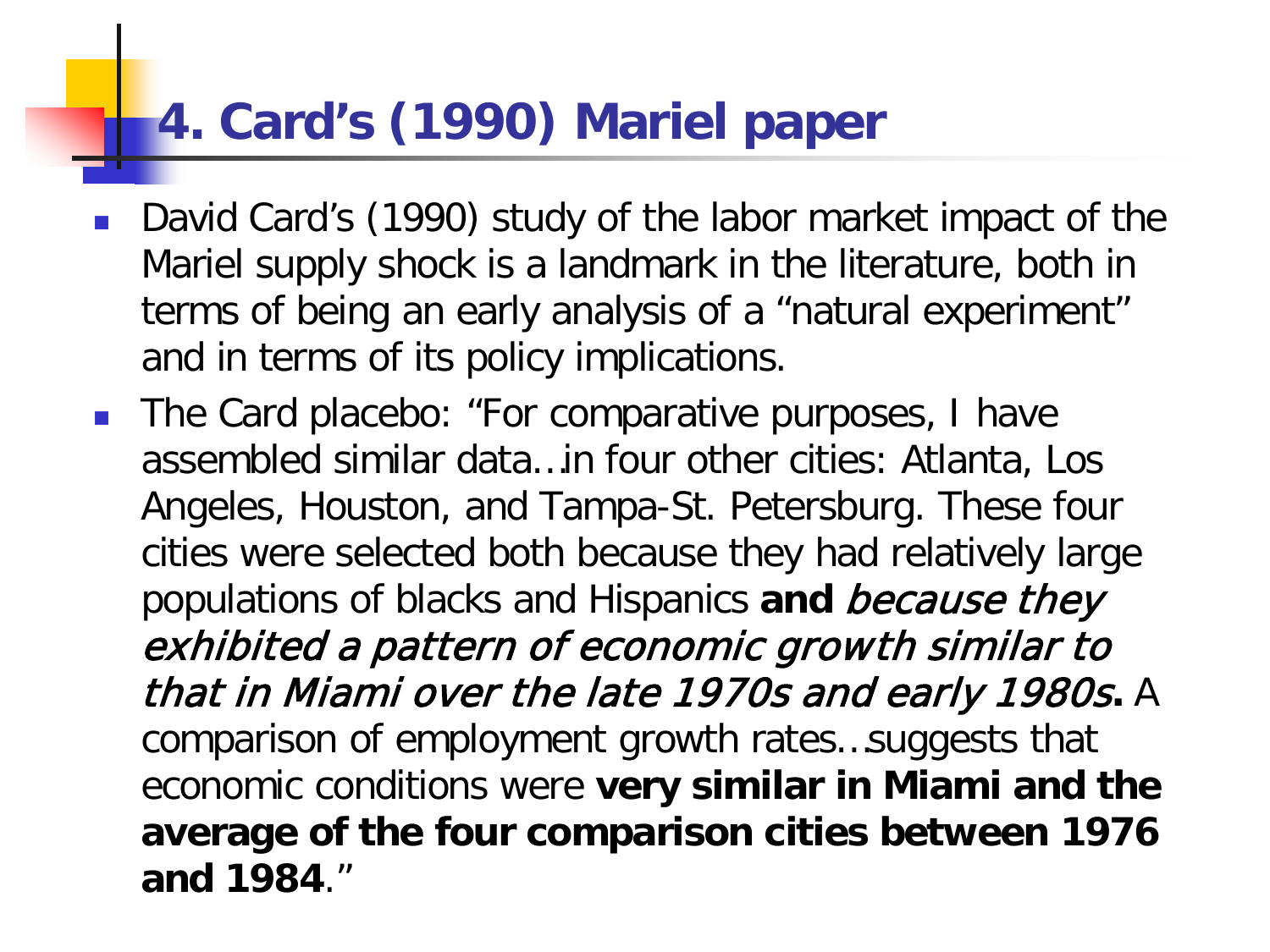### **4. Card's (1990) Mariel paper**

- David Card's (1990) study of the labor market impact of the Mariel supply shock is a landmark in the literature, both in terms of being an early analysis of a "natural experiment" and in terms of its policy implications.
- **The Card placebo: "For comparative purposes, I have** assembled similar data…in four other cities: Atlanta, Los Angeles, Houston, and Tampa-St. Petersburg. These four cities were selected both because they had relatively large populations of blacks and Hispanics **and** because they exhibited a pattern of economic growth similar to that in Miami over the late 1970s and early 1980s**.** A comparison of employment growth rates…suggests that economic conditions were **very similar in Miami and the average of the four comparison cities between 1976 and 1984**."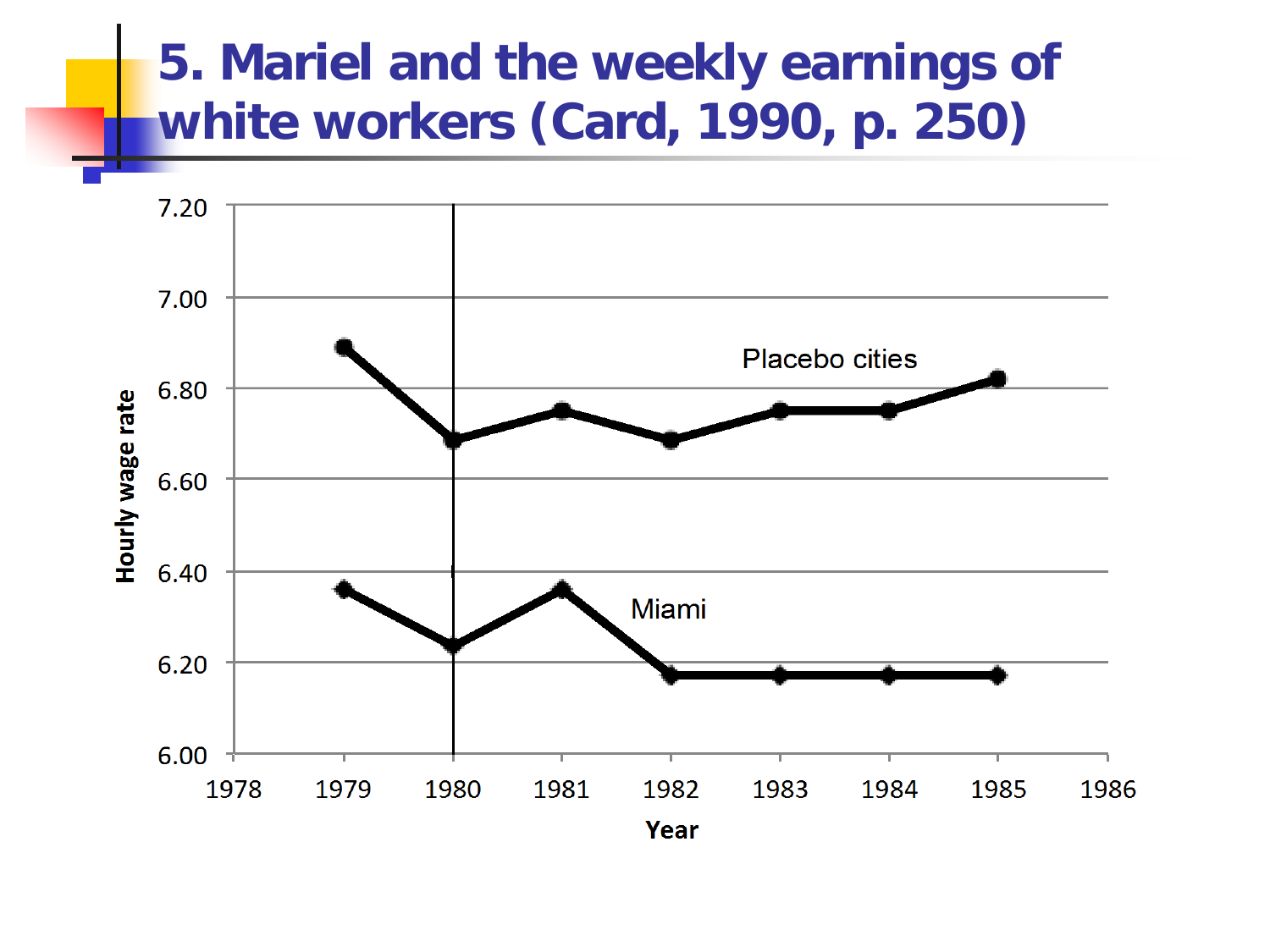# **5. Mariel and the weekly earnings of white workers (Card, 1990, p. 250)**

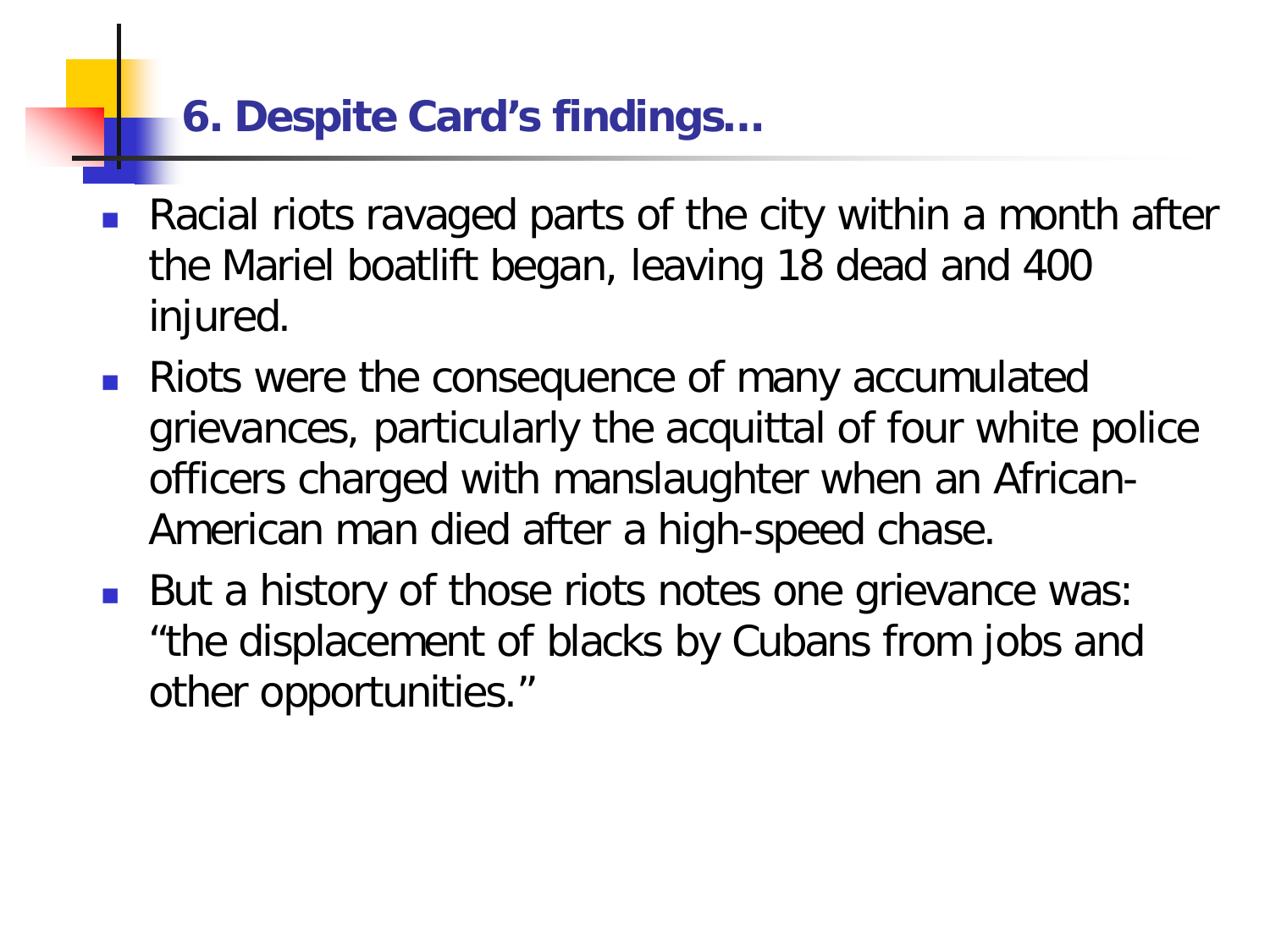### **6. Despite Card's findings…**

- Racial riots ravaged parts of the city within a month after the Mariel boatlift began, leaving 18 dead and 400 injured.
- Riots were the consequence of many accumulated grievances, particularly the acquittal of four white police officers charged with manslaughter when an African-American man died after a high-speed chase.
- But a history of those riots notes one grievance was: "the displacement of blacks by Cubans from jobs and other opportunities."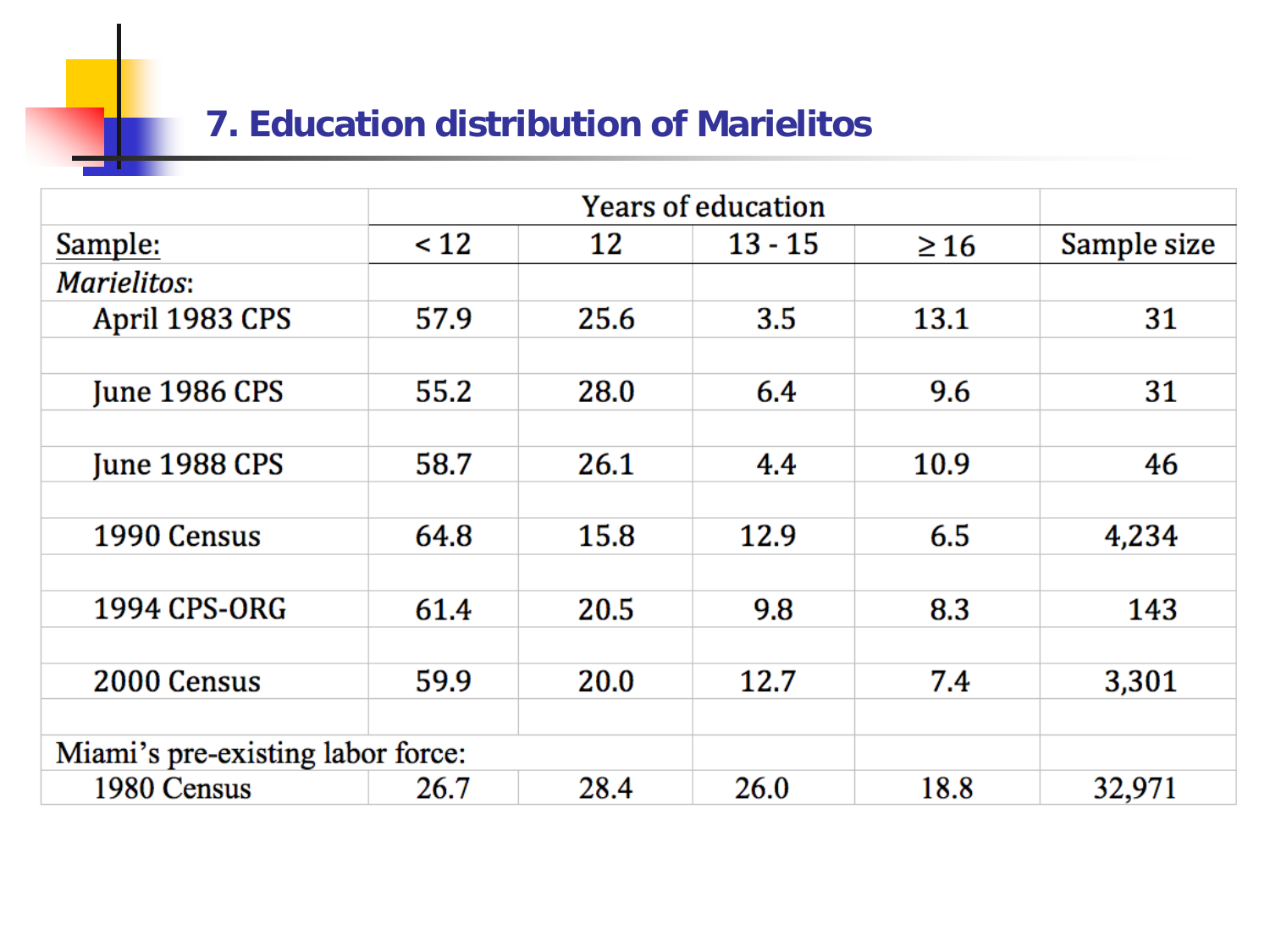### **7. Education distribution of Marielitos**

|                                   | <b>Years of education</b> |      |           |           |             |
|-----------------------------------|---------------------------|------|-----------|-----------|-------------|
| Sample:                           | < 12                      | 12   | $13 - 15$ | $\geq 16$ | Sample size |
| <b>Marielitos:</b>                |                           |      |           |           |             |
| April 1983 CPS                    | 57.9                      | 25.6 | 3.5       | 13.1      | 31          |
|                                   |                           |      |           |           |             |
| <b>June 1986 CPS</b>              | 55.2                      | 28.0 | 6.4       | 9.6       | 31          |
|                                   |                           |      |           |           |             |
| <b>June 1988 CPS</b>              | 58.7                      | 26.1 | 4.4       | 10.9      | 46          |
|                                   |                           |      |           |           |             |
| 1990 Census                       | 64.8                      | 15.8 | 12.9      | 6.5       | 4,234       |
|                                   |                           |      |           |           |             |
| 1994 CPS-ORG                      | 61.4                      | 20.5 | 9.8       | 8.3       | 143         |
|                                   |                           |      |           |           |             |
| 2000 Census                       | 59.9                      | 20.0 | 12.7      | 7.4       | 3,301       |
|                                   |                           |      |           |           |             |
| Miami's pre-existing labor force: |                           |      |           |           |             |
| 1980 Census                       | 26.7                      | 28.4 | 26.0      | 18.8      | 32,971      |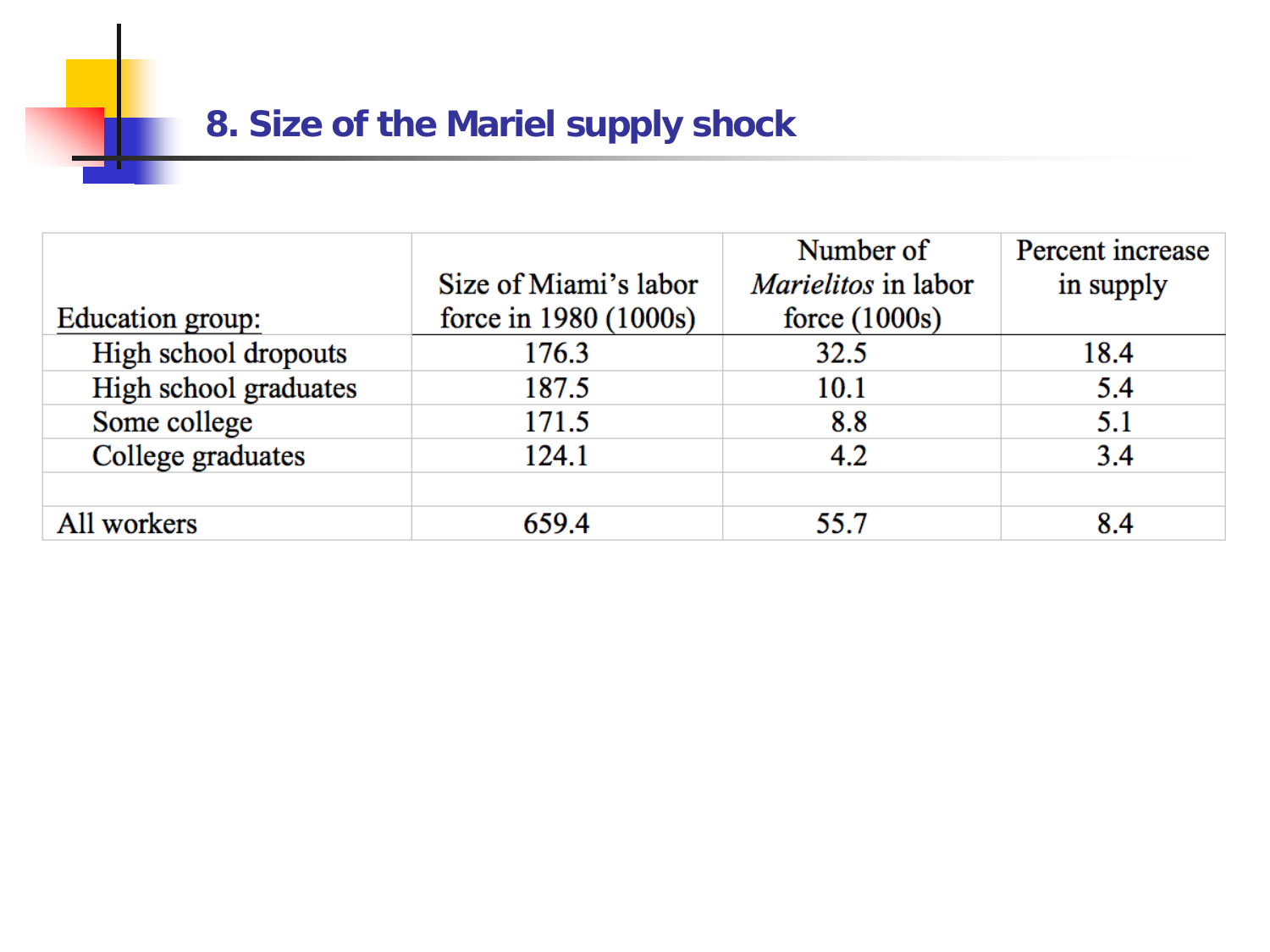#### **8. Size of the Mariel supply shock**

|                       |                       | Number of                  | Percent increase |
|-----------------------|-----------------------|----------------------------|------------------|
|                       | Size of Miami's labor | <i>Marielitos</i> in labor | in supply        |
| Education group:      | force in 1980 (1000s) | force $(1000s)$            |                  |
| High school dropouts  | 176.3                 | 32.5                       | 18.4             |
| High school graduates | 187.5                 | 10.1                       | 5.4              |
| Some college          | 171.5                 | 8.8                        | 5.1              |
| College graduates     | 124.1                 | 4.2                        | 3.4              |
|                       |                       |                            |                  |
| All workers           | 659.4                 | 55.7                       | 8.4              |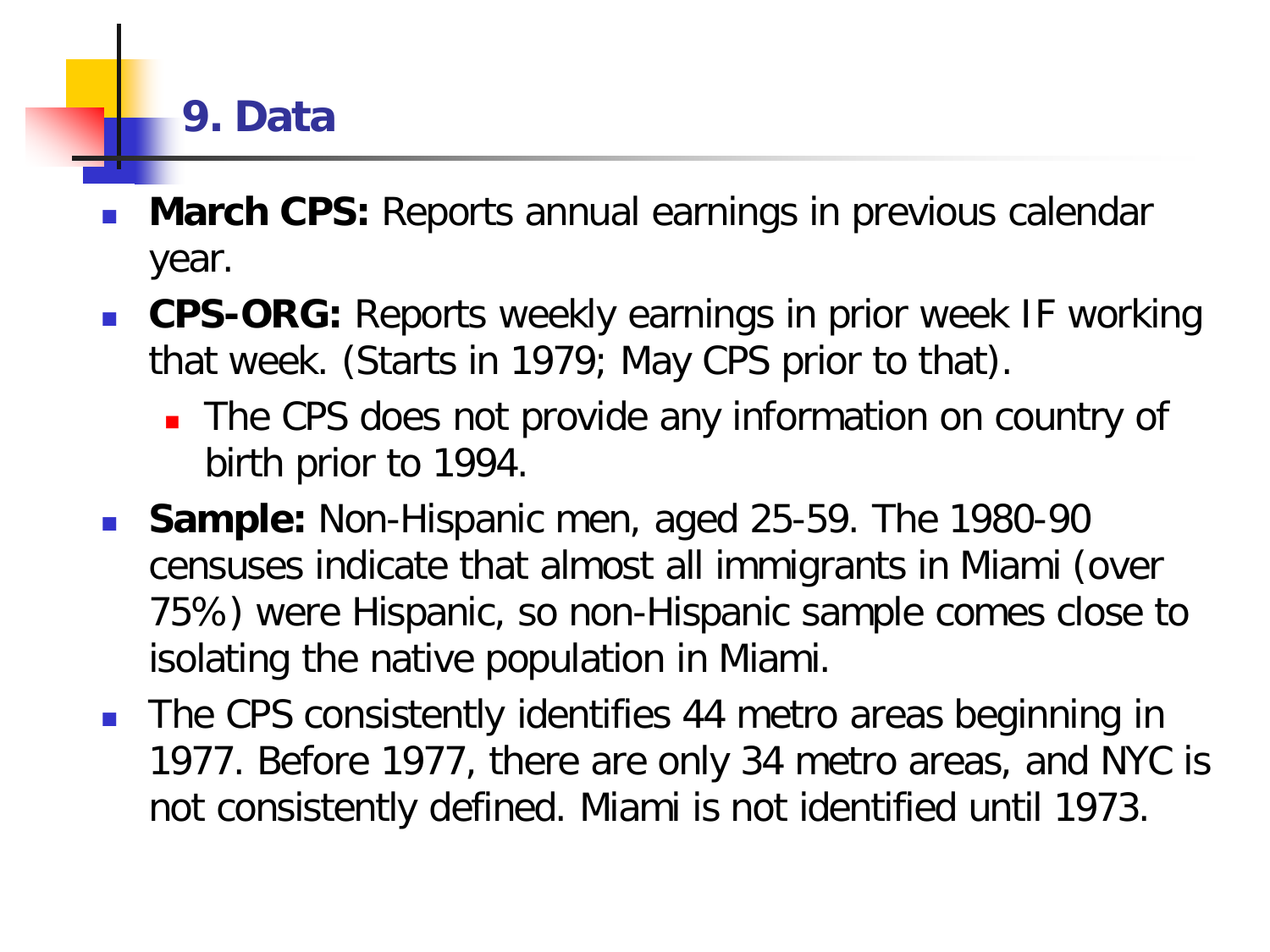### **9. Data**

- **March CPS:** Reports annual earnings in previous calendar year.
- **CPS-ORG:** Reports weekly earnings in prior week IF working that week. (Starts in 1979; May CPS prior to that).
	- **The CPS does not provide any information on country of** birth prior to 1994.
- **Sample:** Non-Hispanic men, aged 25-59. The 1980-90 censuses indicate that almost all immigrants in Miami (over 75%) were Hispanic, so non-Hispanic sample comes close to isolating the native population in Miami.
- **The CPS consistently identifies 44 metro areas beginning in** 1977. Before 1977, there are only 34 metro areas, and NYC is not consistently defined. Miami is not identified until 1973.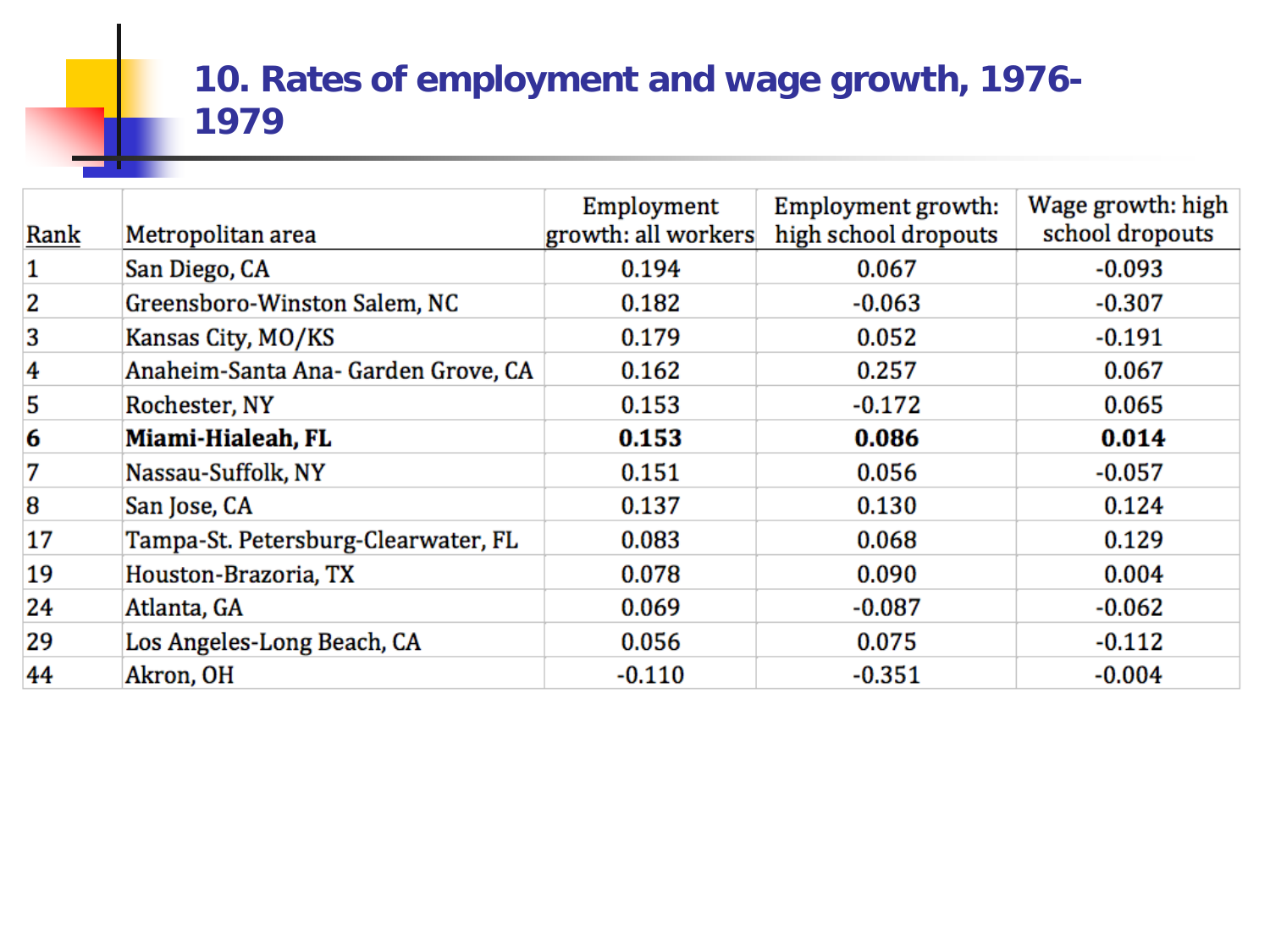#### **10. Rates of employment and wage growth, 1976- 1979**

| Rank                    | Metropolitan area                   | Employment<br>growth: all workers | Employment growth:<br>high school dropouts | Wage growth: high<br>school dropouts |
|-------------------------|-------------------------------------|-----------------------------------|--------------------------------------------|--------------------------------------|
| 1                       | San Diego, CA                       | 0.194                             | 0.067                                      | $-0.093$                             |
| $\overline{\mathbf{2}}$ | Greensboro-Winston Salem, NC        | 0.182                             | $-0.063$                                   | $-0.307$                             |
| 3                       | Kansas City, MO/KS                  | 0.179                             | 0.052                                      | $-0.191$                             |
| 4                       | Anaheim-Santa Ana- Garden Grove, CA | 0.162                             | 0.257                                      | 0.067                                |
| 5                       | Rochester, NY                       | 0.153                             | $-0.172$                                   | 0.065                                |
| 6                       | Miami-Hialeah, FL                   | 0.153                             | 0.086                                      | 0.014                                |
| 7                       | Nassau-Suffolk, NY                  | 0.151                             | 0.056                                      | $-0.057$                             |
| 8                       | San Jose, CA                        | 0.137                             | 0.130                                      | 0.124                                |
| 17                      | Tampa-St. Petersburg-Clearwater, FL | 0.083                             | 0.068                                      | 0.129                                |
| 19                      | Houston-Brazoria, TX                | 0.078                             | 0.090                                      | 0.004                                |
| 24                      | Atlanta, GA                         | 0.069                             | $-0.087$                                   | $-0.062$                             |
| 29                      | Los Angeles-Long Beach, CA          | 0.056                             | 0.075                                      | $-0.112$                             |
| 44                      | Akron, OH                           | $-0.110$                          | $-0.351$                                   | $-0.004$                             |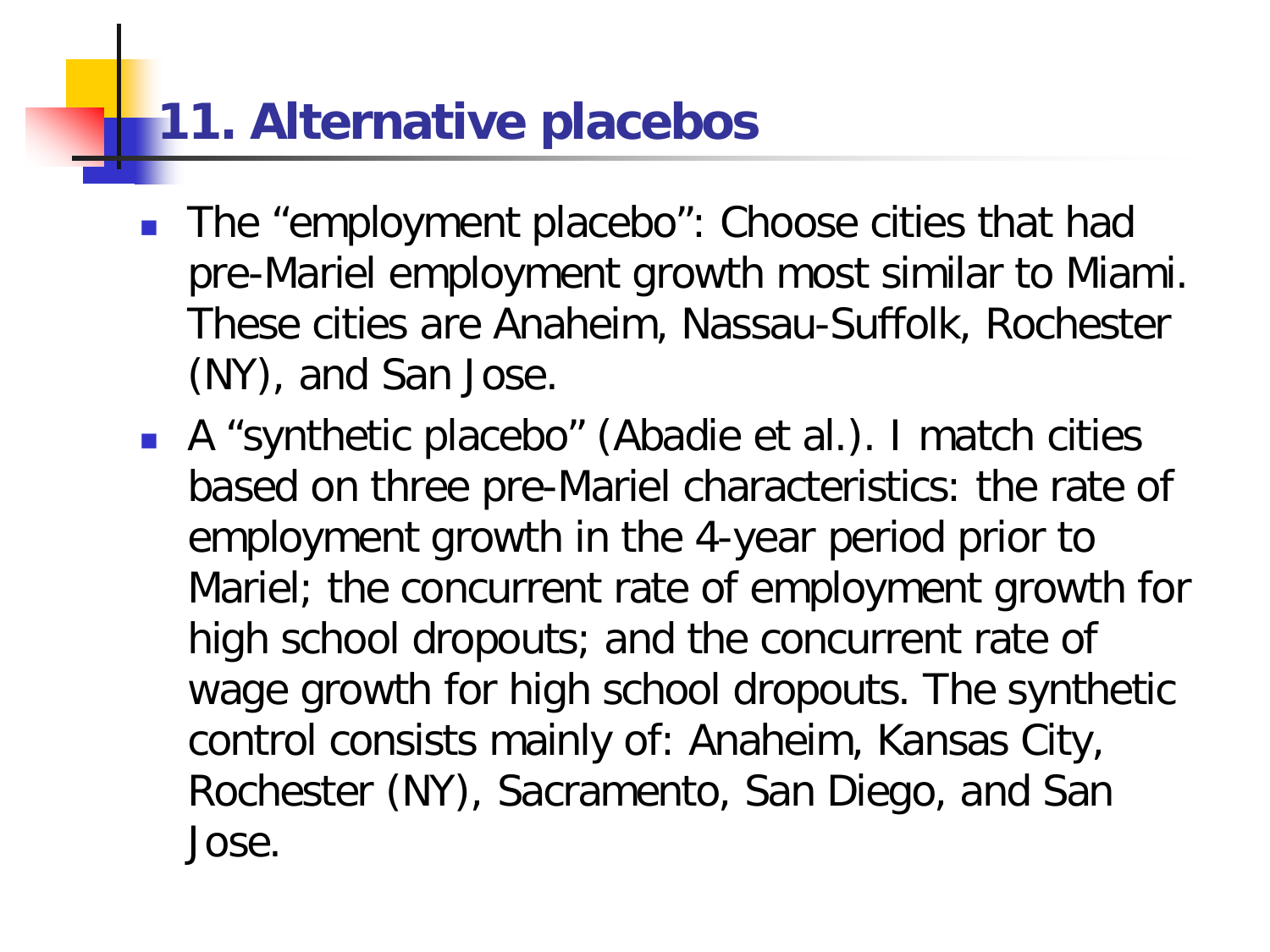# **11. Alternative placebos**

- The "employment placebo": Choose cities that had pre-Mariel employment growth most similar to Miami. These cities are Anaheim, Nassau-Suffolk, Rochester (NY), and San Jose.
- A "synthetic placebo" (Abadie et al.). I match cities based on three pre-Mariel characteristics: the rate of employment growth in the 4-year period prior to Mariel; the concurrent rate of employment growth for high school dropouts; and the concurrent rate of wage growth for high school dropouts. The synthetic control consists mainly of: Anaheim, Kansas City, Rochester (NY), Sacramento, San Diego, and San Jose.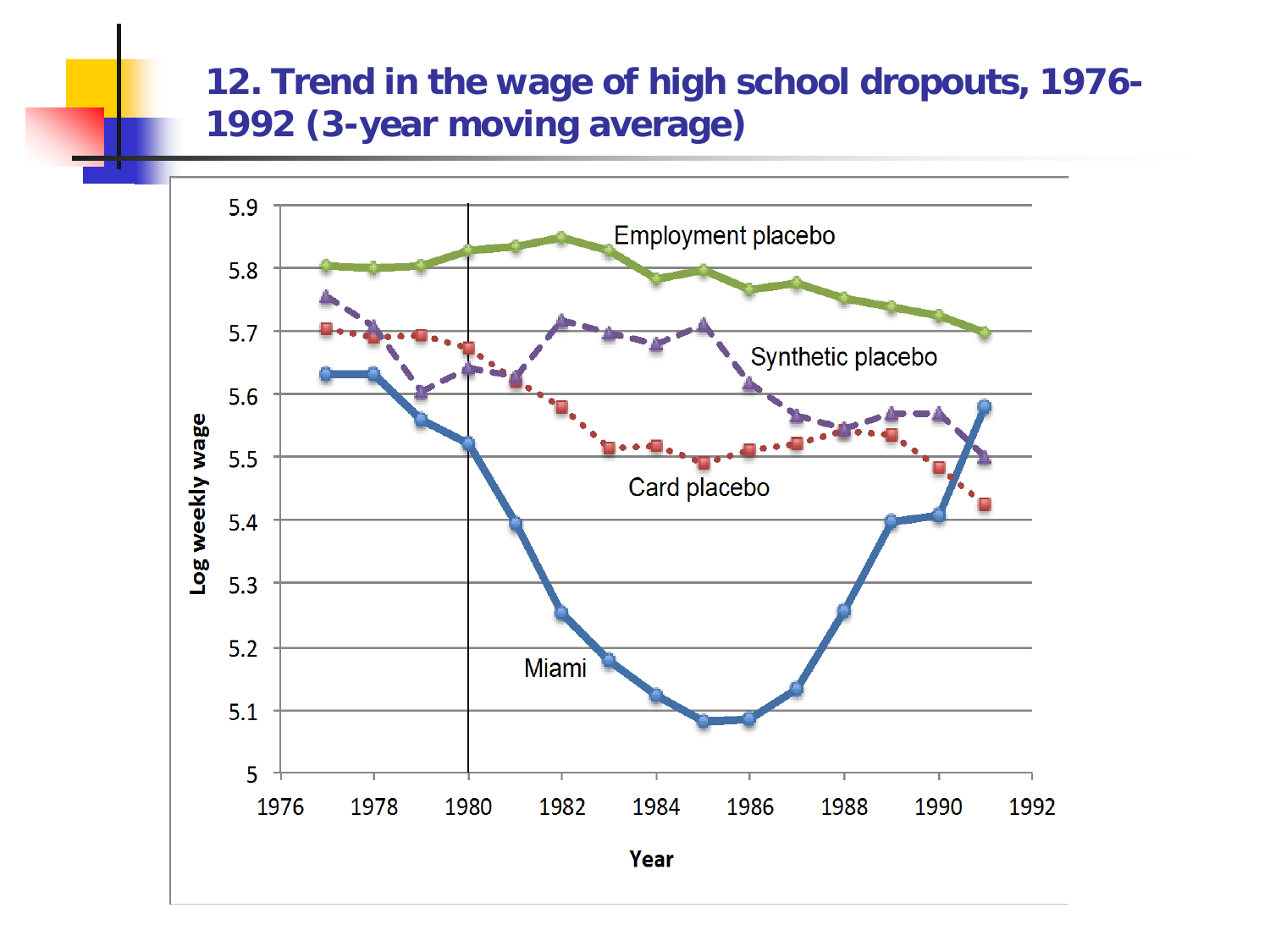#### **12. Trend in the wage of high school dropouts, 1976- 1992 (3-year moving average)**

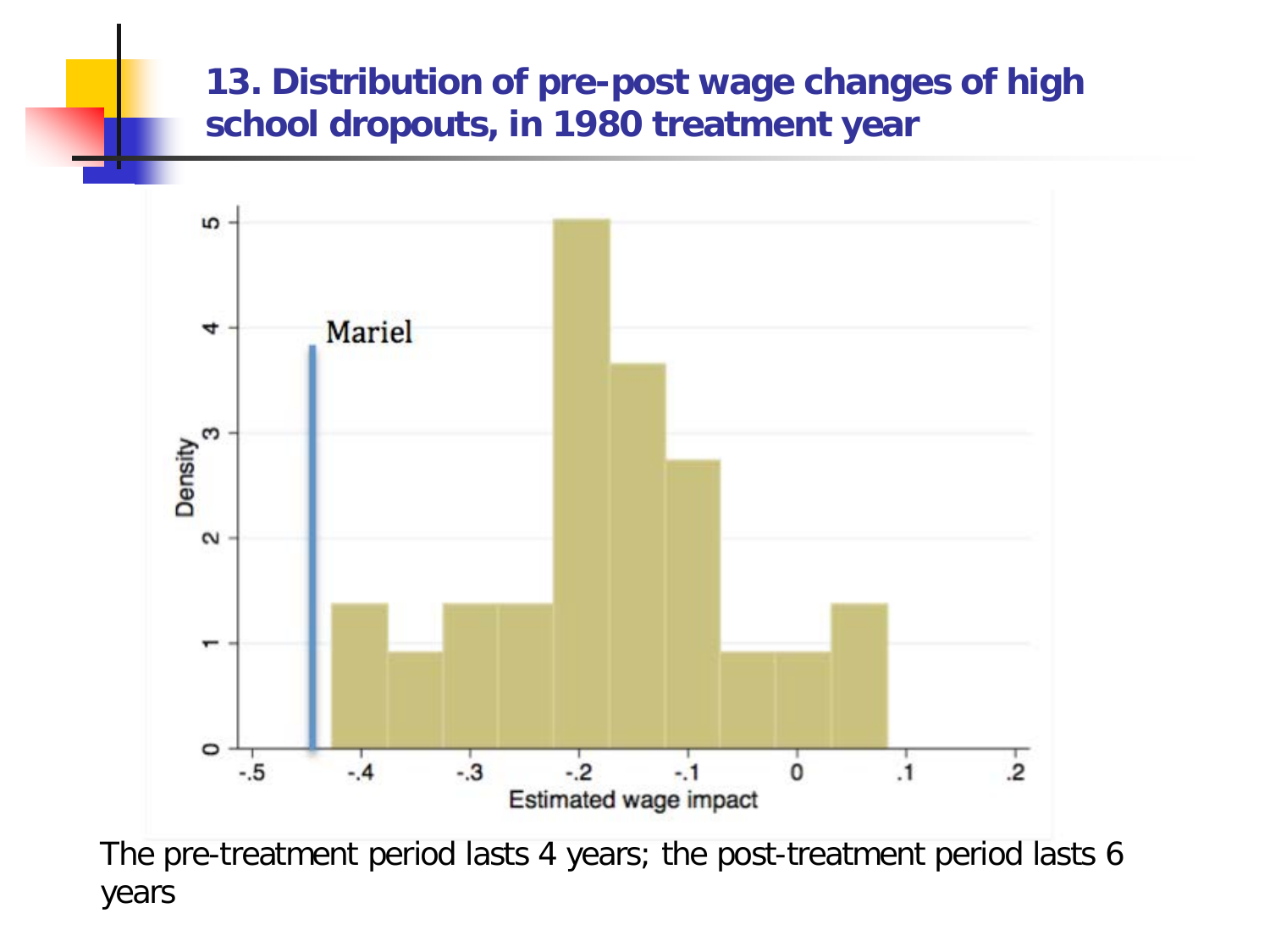#### **13. Distribution of pre-post wage changes of high school dropouts, in 1980 treatment year**



The pre-treatment period lasts 4 years; the post-treatment period lasts 6 years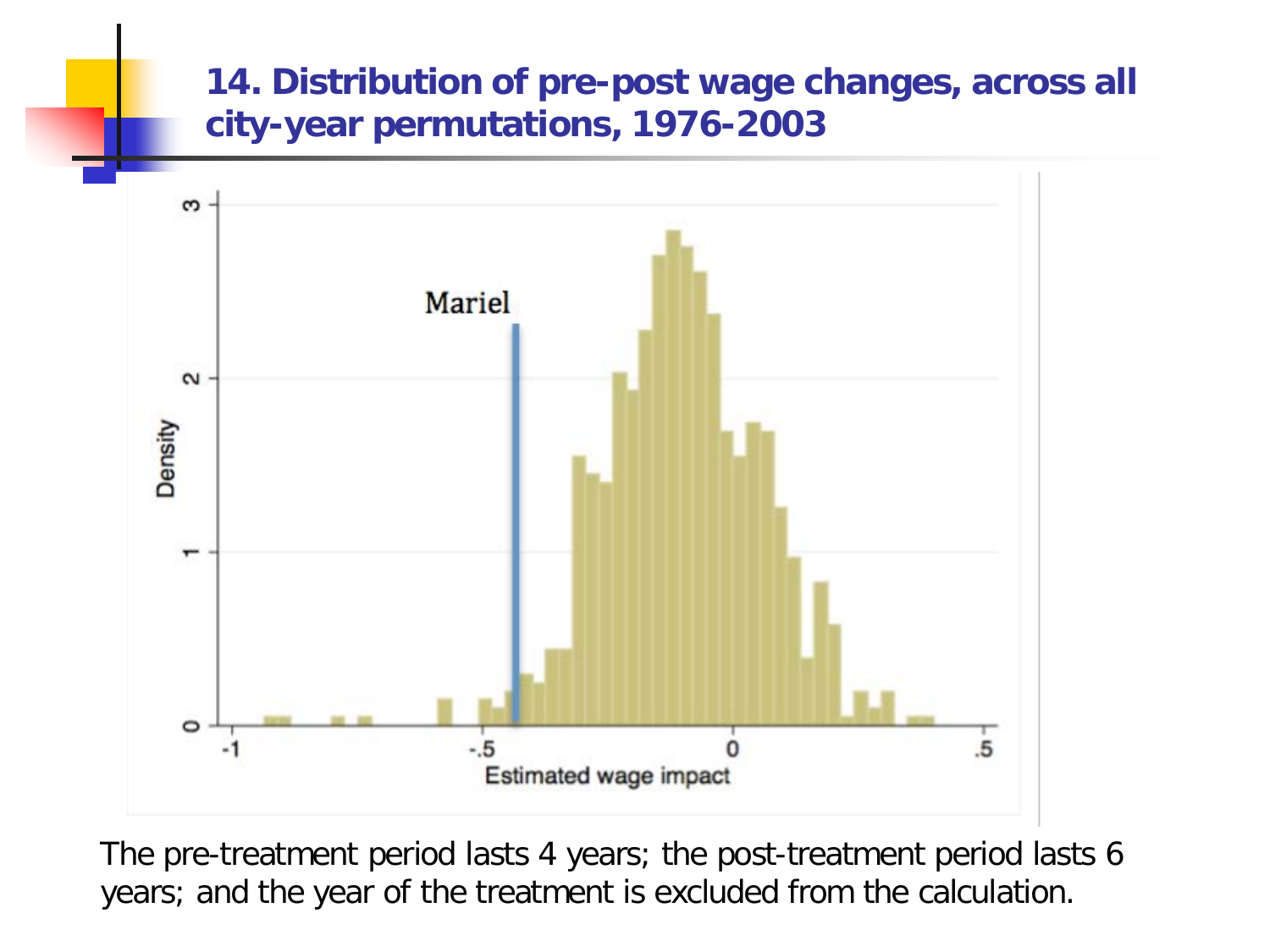#### **14. Distribution of pre-post wage changes, across all city-year permutations, 1976-2003**



The pre-treatment period lasts 4 years; the post-treatment period lasts 6 years; and the year of the treatment is excluded from the calculation.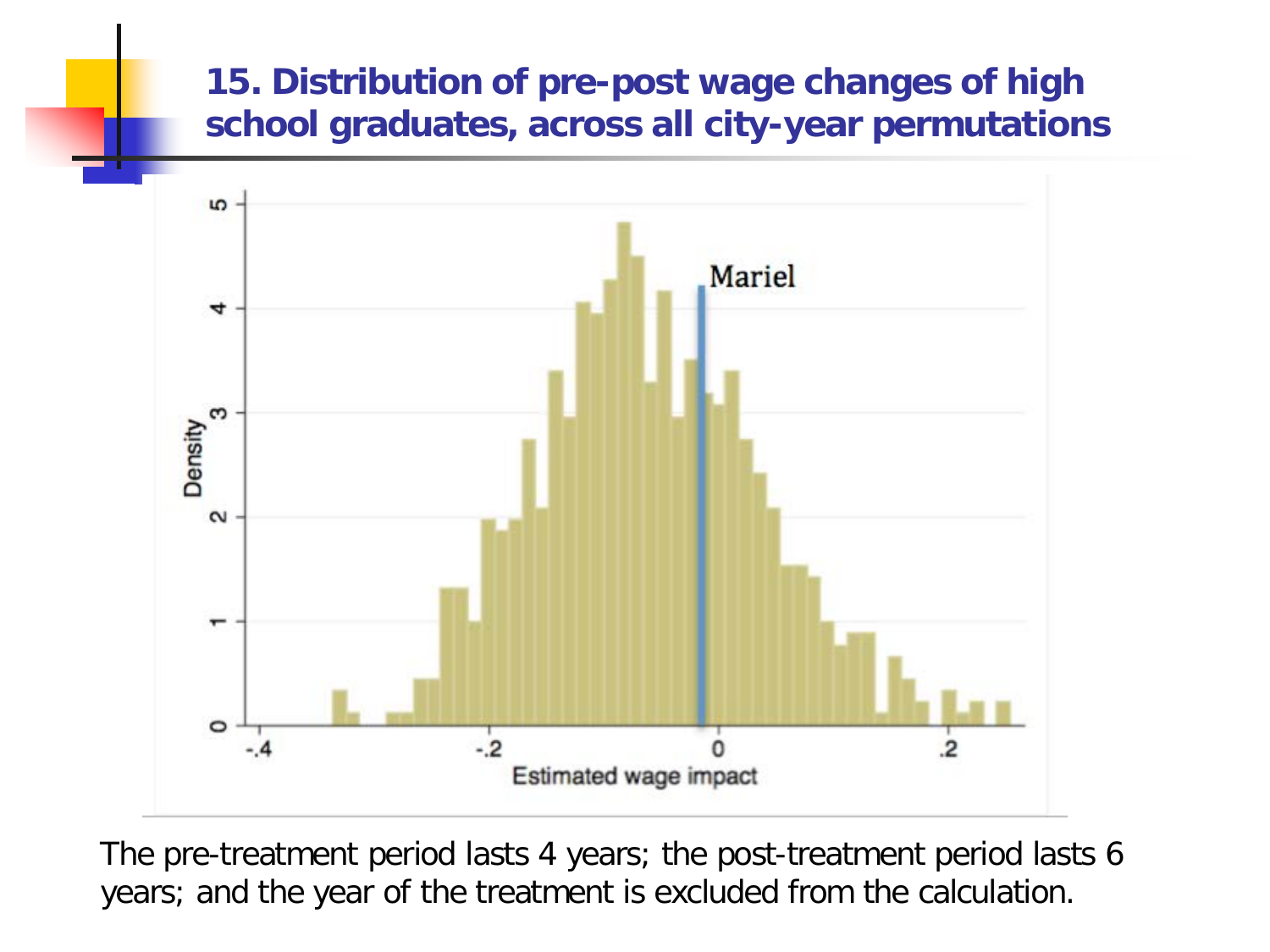#### **15. Distribution of pre-post wage changes of high school graduates, across all city-year permutations**



The pre-treatment period lasts 4 years; the post-treatment period lasts 6 years; and the year of the treatment is excluded from the calculation.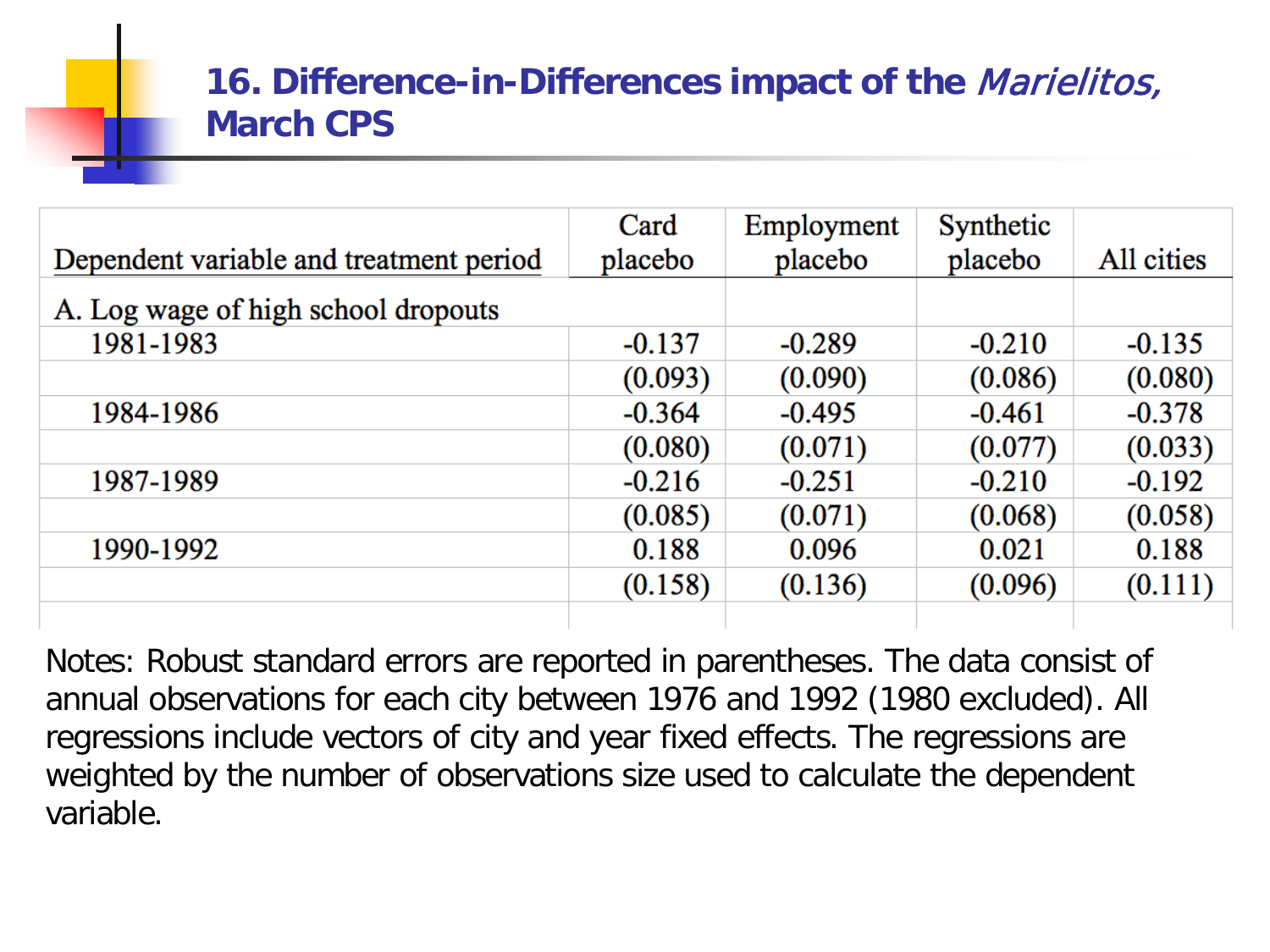#### **16. Difference-in-Differences impact of the** Marielitos, **March CPS**

| Dependent variable and treatment period | Card<br>placebo | Employment<br>placebo | Synthetic<br>placebo | All cities |
|-----------------------------------------|-----------------|-----------------------|----------------------|------------|
| A. Log wage of high school dropouts     |                 |                       |                      |            |
| 1981-1983                               | $-0.137$        | $-0.289$              | $-0.210$             | $-0.135$   |
|                                         | (0.093)         | (0.090)               | (0.086)              | (0.080)    |
| 1984-1986                               | $-0.364$        | $-0.495$              | $-0.461$             | $-0.378$   |
|                                         | (0.080)         | (0.071)               | (0.077)              | (0.033)    |
| 1987-1989                               | $-0.216$        | $-0.251$              | $-0.210$             | $-0.192$   |
|                                         | (0.085)         | (0.071)               | (0.068)              | (0.058)    |
| 1990-1992                               | 0.188           | 0.096                 | 0.021                | 0.188      |
|                                         | (0.158)         | (0.136)               | (0.096)              | (0.111)    |
|                                         |                 |                       |                      |            |

Notes: Robust standard errors are reported in parentheses. The data consist of annual observations for each city between 1976 and 1992 (1980 excluded). All regressions include vectors of city and year fixed effects. The regressions are weighted by the number of observations size used to calculate the dependent variable.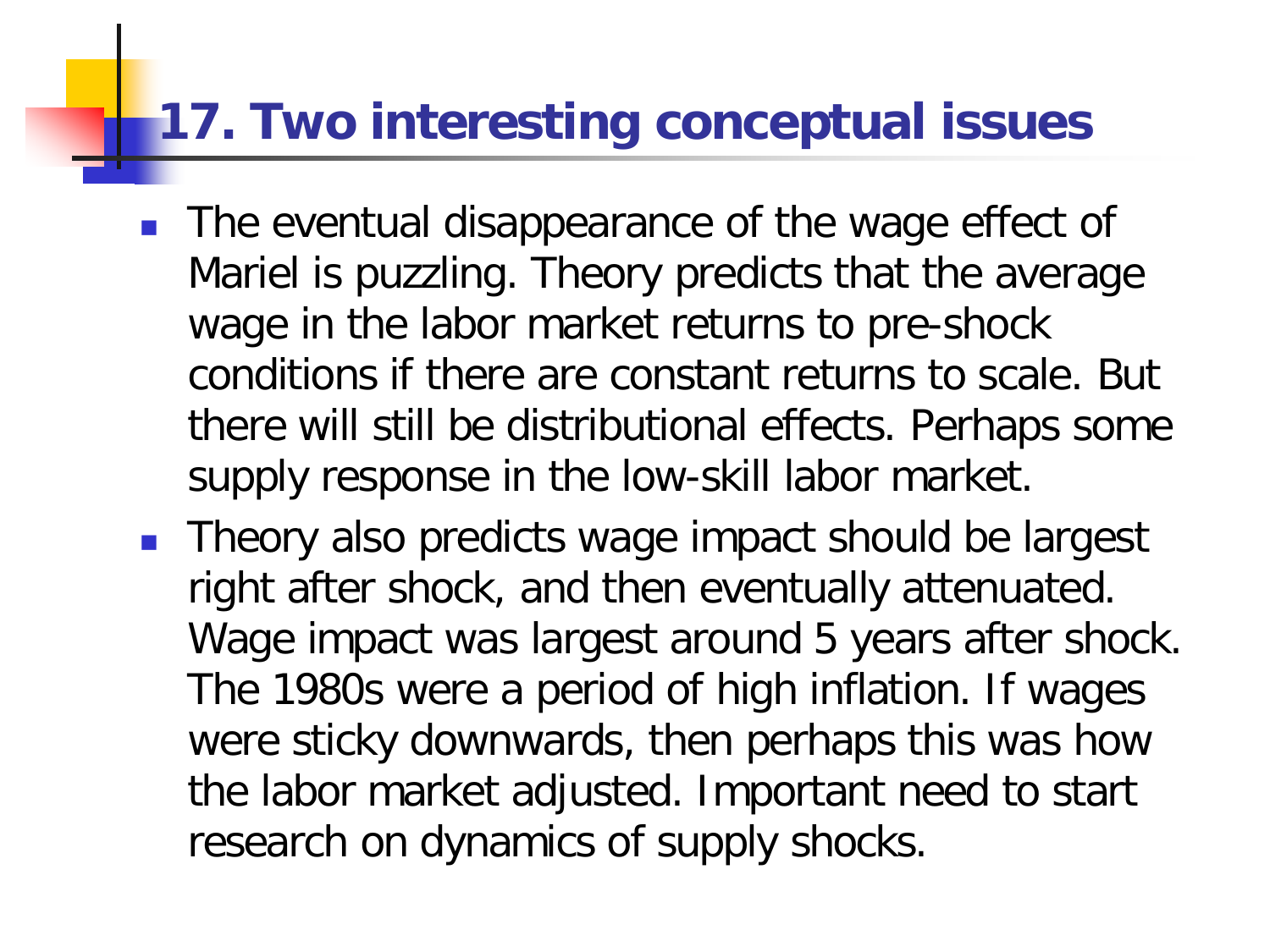### **17. Two interesting conceptual issues**

- **The eventual disappearance of the wage effect of** Mariel is puzzling. Theory predicts that the average wage in the labor market returns to pre-shock conditions if there are constant returns to scale. But there will still be distributional effects. Perhaps some supply response in the low-skill labor market.
- **Theory also predicts wage impact should be largest** right after shock, and then eventually attenuated. Wage impact was largest around 5 years after shock. The 1980s were a period of high inflation. If wages were sticky downwards, then perhaps this was how the labor market adjusted. Important need to start research on dynamics of supply shocks.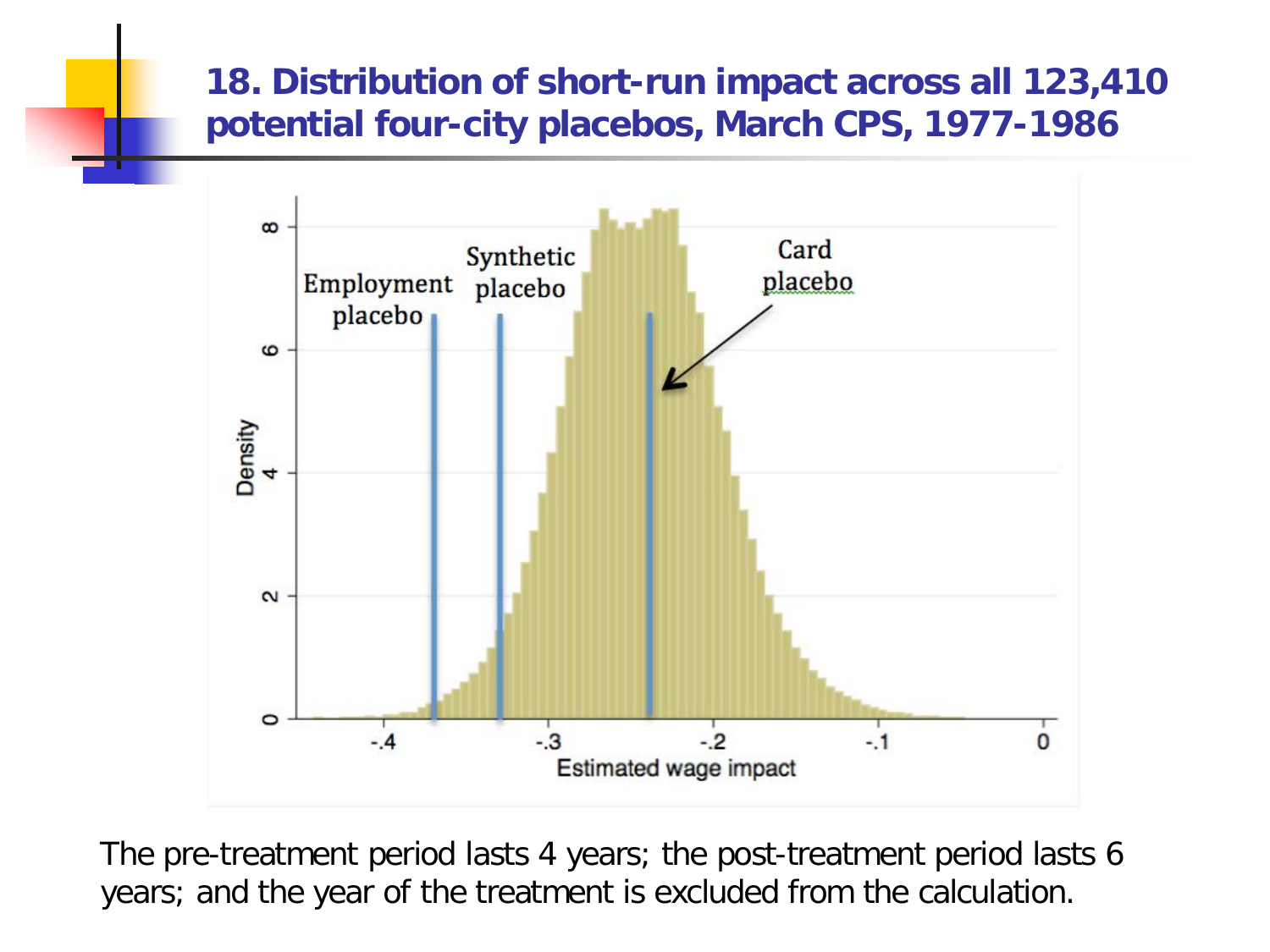#### **18. Distribution of short-run impact across all 123,410 potential four-city placebos, March CPS, 1977-1986**



The pre-treatment period lasts 4 years; the post-treatment period lasts 6 years; and the year of the treatment is excluded from the calculation.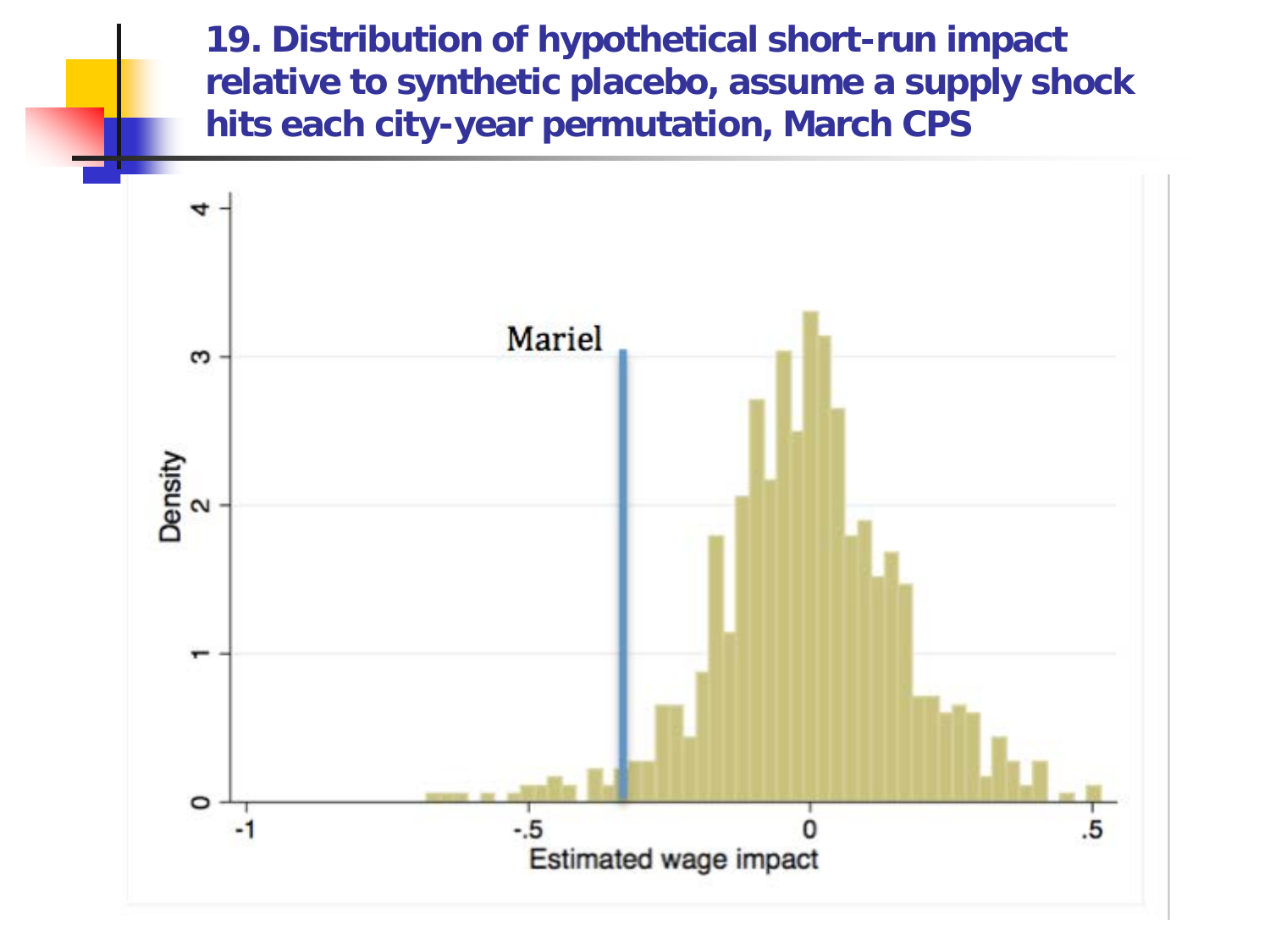**19. Distribution of hypothetical short-run impact relative to synthetic placebo, assume a supply shock hits each city-year permutation, March CPS**

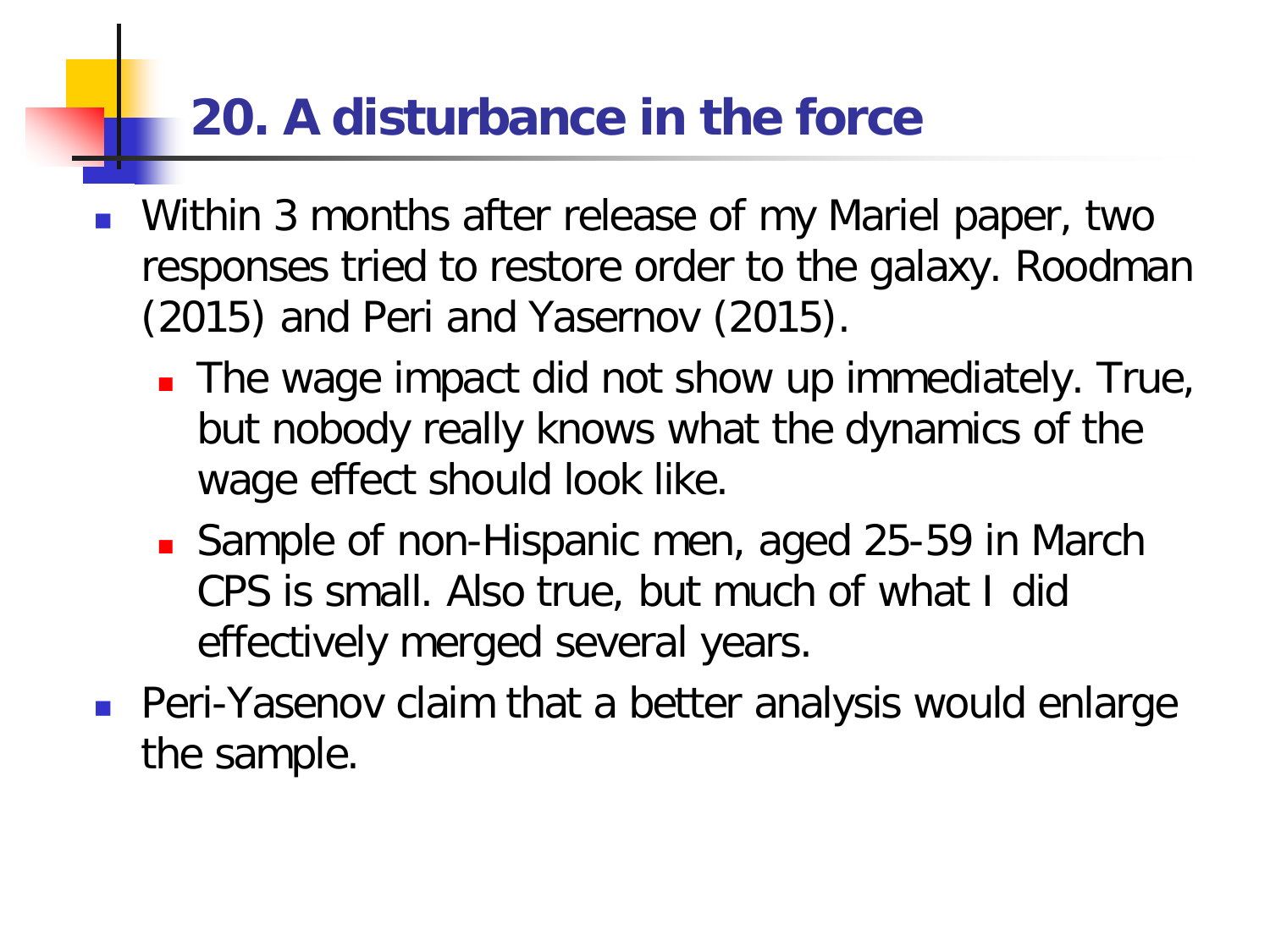# **20. A disturbance in the force**

- Within 3 months after release of my Mariel paper, two responses tried to restore order to the galaxy. Roodman (2015) and Peri and Yasernov (2015).
	- **The wage impact did not show up immediately. True,** but nobody really knows what the dynamics of the wage effect should look like.
	- Sample of non-Hispanic men, aged 25-59 in March CPS is small. Also true, but much of what I did effectively merged several years.
- Peri-Yasenov claim that a better analysis would enlarge the sample.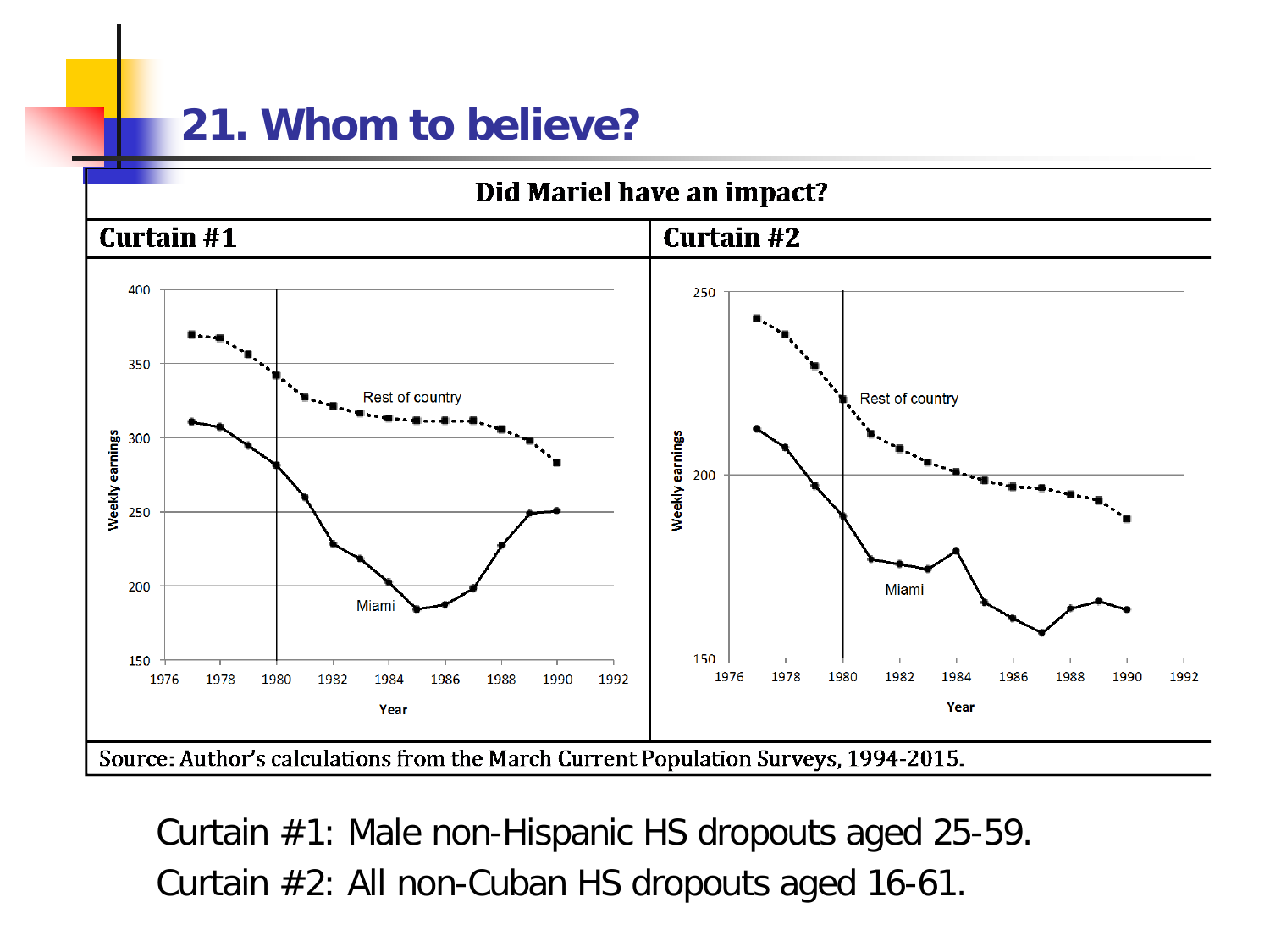### **21. Whom to believe?**



Curtain #1: Male non-Hispanic HS dropouts aged 25-59. Curtain #2: All non-Cuban HS dropouts aged 16-61.